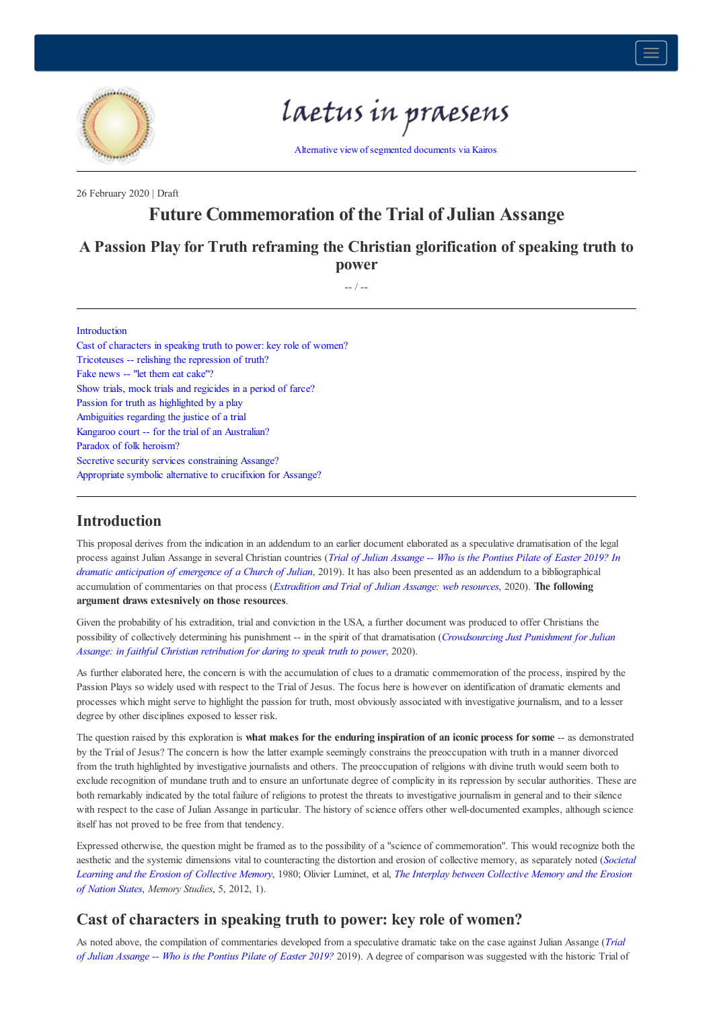

# laetus in praesens

Alternative view of segmented documents via Kairos

26 February 2020 | Draft

# **Future Commemoration of the Trial of Julian Assange**

# **A Passion Play for Truth reframing the Christian glorification of speaking truth to power**

-- / --

#### Introduction

Cast of characters in speaking truth to power: key role of women? Tricoteuses -- relishing the repression of truth? Fake news -- "let them eat cake"? Show trials, mock trials and regicides in a period of farce? Passion for truth as highlighted by a play Ambiguities regarding the justice of a trial Kangaroo court -- for the trial of an Australian? Paradox of folk heroism? Secretive security services constraining Assange? Appropriate symbolic alternative to crucifixion for Assange?

## **Introduction**

This proposal derives from the indication in an addendum to an earlier document elaborated as a speculative dramatisation of the legal process against Julian Assange in several Christian countries (*Trial of Julian Assange -- Who is the Pontius Pilate of Easter 2019? In dramatic anticipation of emergence of a Church of Julian*, 2019). It has also been presented as an addendum to a bibliographical accumulation of commentaries on that process (*Extradition and Trial of Julian Assange: web resources*, 2020). **The following argument draws extesnively on those resources**.

Given the probability of his extradition, trial and conviction in the USA, a further document was produced to offer Christians the possibility of collectively determining his punishment -- in the spirit of that dramatisation (*Crowdsourcing Just Punishment for Julian Assange: in faithful Christian retribution for daring to speak truth to power*, 2020).

As further elaborated here, the concern is with the accumulation of clues to a dramatic commemoration of the process, inspired by the Passion Plays so widely used with respect to the Trial of Jesus. The focus here is however on identification of dramatic elements and processes which might serve to highlight the passion for truth, most obviously associated with investigative journalism, and to a lesser degree by other disciplines exposed to lesser risk.

The question raised by this exploration is **what makes for the enduring inspiration of an iconic process for some** -- as demonstrated by the Trial of Jesus? The concern is how the latter example seemingly constrains the preoccupation with truth in a manner divorced from the truth highlighted by investigative journalists and others. The preoccupation of religions with divine truth would seem both to exclude recognition of mundane truth and to ensure an unfortunate degree of complicity in its repression by secular authorities. These are both remarkably indicated by the total failure of religions to protest the threats to investigative journalism in general and to their silence with respect to the case of Julian Assange in particular. The history of science offers other well-documented examples, although science itself has not proved to be free from that tendency.

Expressed otherwise, the question might be framed as to the possibility of a "science of commemoration". This would recognize both the aesthetic and the systemic dimensions vital to counteracting the distortion and erosion of collective memory, as separately noted (*Societal Learning and the Erosion of Collective Memory*, 1980; Olivier Luminet, et al, *The Interplay between Collective Memory and the Erosion of Nation States*, *Memory Studies*, 5, 2012, 1).

## **Cast of characters in speaking truth to power: key role of women?**

As noted above, the compilation of commentaries developed from a speculative dramatic take on the case against Julian Assange (*Trial of Julian Assange -- Who is the Pontius Pilate of Easter 2019?* 2019). A degree of comparison was suggested with the historic Trial of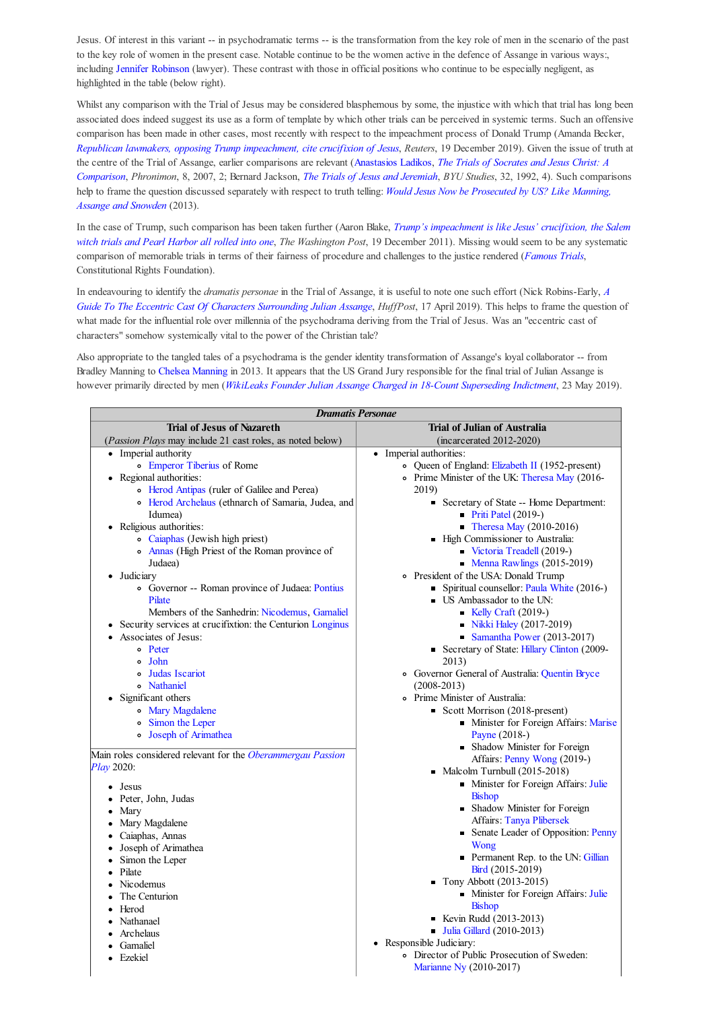Jesus. Of interest in this variant -- in psychodramatic terms -- is the transformation from the key role of men in the scenario of the past to the key role of women in the present case. Notable continue to be the women active in the defence of Assange in various ways:, including Jennifer Robinson (lawyer). These contrast with those in official positions who continue to be especially negligent, as highlighted in the table (below right).

Whilst any comparison with the Trial of Jesus may be considered blasphemous by some, the injustice with which that trial has long been associated does indeed suggest its use as a form of template by which other trials can be perceived in systemic terms. Such an offensive comparison has been made in other cases, most recently with respect to the impeachment process of Donald Trump (Amanda Becker, *Republican lawmakers, opposing Trump impeachment, cite crucifixion of Jesus*, *Reuters*, 19 December 2019). Given the issue of truth at the centre of the Trial of Assange, earlier comparisons are relevant (Anastasios Ladikos, *The Trials of Socrates and Jesus Christ: A Comparison*, *Phronimon*, 8, 2007, 2; Bernard Jackson, *The Trials of Jesus and Jeremiah*, *BYU Studies*, 32, 1992, 4). Such comparisons help to frame the question discussed separately with respect to truth telling: *Would Jesus Now be Prosecuted by US? Like Manning, Assange and Snowden* (2013).

In the case of Trump, such comparison has been taken further (Aaron Blake, *Trump's impeachment is like Jesus' crucifixion, the Salem witch trials and Pearl Harbor all rolled into one*, *The Washington Post*, 19 December 2011). Missing would seem to be any systematic comparison of memorable trials in terms of their fairness of procedure and challenges to the justice rendered (*Famous Trials*, Constitutional Rights Foundation).

In endeavouring to identify the *dramatis personae* in the Trial of Assange, it is useful to note one such effort (Nick Robins-Early, *A Guide To The Eccentric Cast Of Characters Surrounding Julian Assange*, *HuffPost*, 17 April 2019). This helps to frame the question of what made for the influential role over millennia of the psychodrama deriving from the Trial of Jesus. Was an "eccentric cast of characters" somehow systemically vital to the power of the Christian tale?

Also appropriate to the tangled tales of a psychodrama is the gender identity transformation of Assange's loyal collaborator -- from Bradley Manning to Chelsea Manning in 2013. It appears that the US Grand Jury responsible for the final trial of Julian Assange is however primarily directed by men (*WikiLeaks Founder Julian Assange Charged in 18-Count Superseding Indictment*, 23 May 2019).

| <b>Dramatis Personae</b>                                    |                                                 |
|-------------------------------------------------------------|-------------------------------------------------|
| <b>Trial of Jesus of Nazareth</b>                           | <b>Trial of Julian of Australia</b>             |
| (Passion Plays may include 21 cast roles, as noted below)   | $(incarcerated 2012-2020)$                      |
| • Imperial authority                                        | • Imperial authorities:                         |
| <b>Emperor Tiberius of Rome</b>                             | o Queen of England: Elizabeth II (1952-present) |
| • Regional authorities:                                     | o Prime Minister of the UK: Theresa May (2016-  |
| • Herod Antipas (ruler of Galilee and Perea)                | 2019)                                           |
| · Herod Archelaus (ethnarch of Samaria, Judea, and          | • Secretary of State -- Home Department:        |
| Idumea)                                                     | $\blacksquare$ Priti Patel (2019-)              |
| • Religious authorities:                                    | Theresa May $(2010-2016)$                       |
| · Caiaphas (Jewish high priest)                             | ■ High Commissioner to Australia:               |
| • Annas (High Priest of the Roman province of               | $\blacksquare$ Victoria Treadell (2019-)        |
| Judaea)                                                     | • Menna Rawlings $(2015-2019)$                  |
| $\bullet$ Judiciary                                         | • President of the USA: Donald Trump            |
| • Governor -- Roman province of Judaea: Pontius             | Spiritual counsellor: Paula White (2016-)       |
| Pilate                                                      | <b>US</b> Ambassador to the UN:                 |
| Members of the Sanhedrin: Nicodemus, Gamaliel               | Kelly Craft $(2019-)$                           |
| Security services at crucifixtion: the Centurion Longinus   | • Nikki Haley (2017-2019)                       |
| • Associates of Jesus:                                      | $\blacksquare$ Samantha Power (2013-2017)       |
| o Peter                                                     | Secretary of State: Hillary Clinton (2009-      |
| م John                                                      | 2013)                                           |
| <b>•</b> Judas Iscariot                                     | · Governor General of Australia: Quentin Bryce  |
| • Nathaniel                                                 | $(2008 - 2013)$                                 |
| • Significant others                                        | • Prime Minister of Australia:                  |
| o Mary Magdalene                                            | Scott Morrison (2018-present)                   |
| <sup>o</sup> Simon the Leper                                | • Minister for Foreign Affairs: Marise          |
| o Joseph of Arimathea                                       | Payne (2018-)                                   |
|                                                             | • Shadow Minister for Foreign                   |
| Main roles considered relevant for the Oberammergau Passion | Affairs: Penny Wong (2019-)                     |
| <i>Play</i> 2020:                                           | $\blacksquare$ Malcolm Turnbull (2015-2018)     |
| $\bullet$ Jesus                                             | • Minister for Foreign Affairs: Julie           |
| Peter, John, Judas<br>$\bullet$                             | <b>Bishop</b>                                   |
| • Mary                                                      | • Shadow Minister for Foreign                   |
| Mary Magdalene                                              | <b>Affairs: Tanya Plibersek</b>                 |
| · Caiaphas, Annas                                           | • Senate Leader of Opposition: Penny            |
| • Joseph of Arimathea                                       | Wong                                            |
| Simon the Leper<br>٠                                        | • Permanent Rep. to the UN: Gillian             |
| • Pilate                                                    | Bird (2015-2019)                                |
| Nicodemus<br>٠                                              | $\blacksquare$ Tony Abbott (2013-2015)          |
| The Centurion                                               | • Minister for Foreign Affairs: Julie           |
| Herod<br>٠                                                  | <b>Bishop</b>                                   |
| • Nathanael                                                 | ■ Kevin Rudd (2013-2013)                        |
| • Archelaus                                                 | <b>Julia Gillard (2010-2013)</b>                |
| Gamaliel                                                    | • Responsible Judiciary:                        |
| • Ezekiel                                                   | · Director of Public Prosecution of Sweden:     |
|                                                             | Marianne Ny (2010-2017)                         |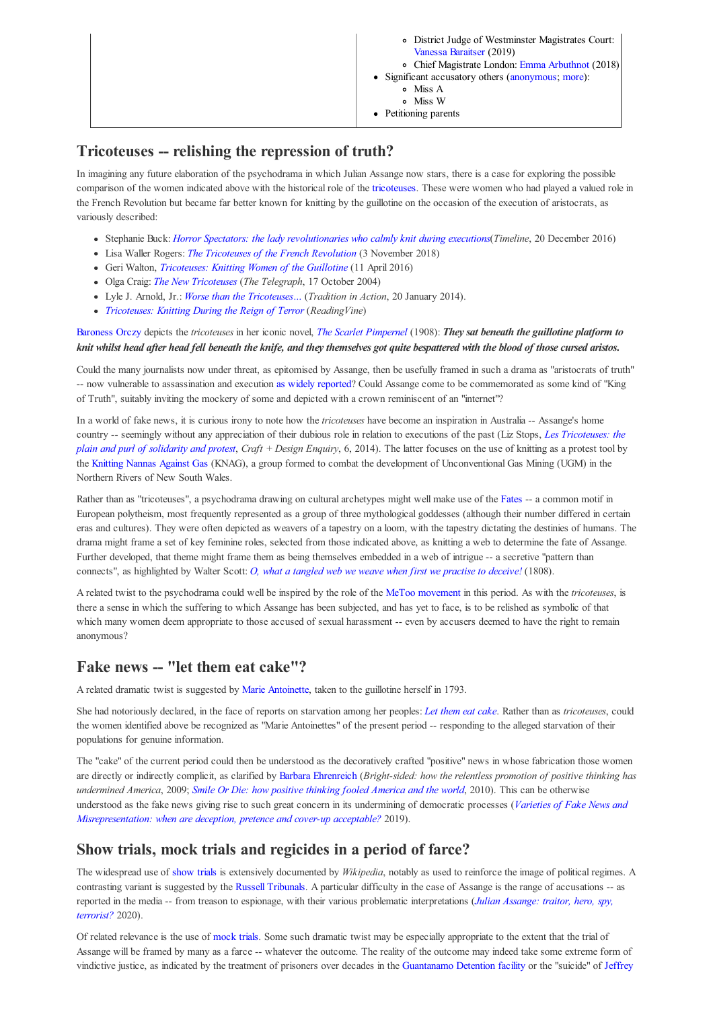|  | • District Judge of Westminster Magistrates Court:<br>Vanessa Baraitser (2019)<br>• Chief Magistrate London: Emma Arbuthnot (2018)<br>• Significant accusatory others (anonymous; more):<br>• Miss A<br>o Miss W<br>• Petitioning parents |
|--|-------------------------------------------------------------------------------------------------------------------------------------------------------------------------------------------------------------------------------------------|
|--|-------------------------------------------------------------------------------------------------------------------------------------------------------------------------------------------------------------------------------------------|

# **Tricoteuses -- relishing the repression of truth?**

In imagining any future elaboration of the psychodrama in which Julian Assange now stars, there is a case for exploring the possible comparison of the women indicated above with the historical role of the tricoteuses. These were women who had played a valued role in the French Revolution but became far better known for knitting by the guillotine on the occasion of the execution of aristocrats, as variously described:

- Stephanie Buck: *Horror Spectators: the lady revolutionaries who calmly knit during executions*(*Timeline*, 20 December 2016)
- Lisa Waller Rogers: *The Tricoteuses of the French Revolution* (3 November 2018)
- Geri Walton, *Tricoteuses: Knitting Women of the Guillotine* (11 April 2016)
- Olga Craig: *The New Tricoteuses* (*The Telegraph*, 17 October 2004)
- Lyle J. Arnold, Jr.: *Worse than the Tricoteuses…* (*Tradition in Action*, 20 January 2014).
- *Tricoteuses: Knitting During the Reign of Terror* (*ReadingVine*)

#### Baroness Orczy depicts the *tricoteuses* in her iconic novel, *The Scarlet Pimpernel* (1908): *They sat beneath the guillotine platform to knit whilst head after head fell beneath the knife, and they themselves got quite bespattered with the blood of those cursed aristos***.**

Could the many journalists now under threat, as epitomised by Assange, then be usefully framed in such a drama as "aristocrats of truth" -- now vulnerable to assassination and execution as widely reported? Could Assange come to be commemorated as some kind of "King of Truth", suitably inviting the mockery of some and depicted with a crown reminiscent of an "internet"?

In a world of fake news, it is curious irony to note how the *tricoteuses* have become an inspiration in Australia -- Assange's home country -- seemingly without any appreciation of their dubious role in relation to executions of the past (Liz Stops, *Les Tricoteuses: the plain and purl of solidarity and protest*, *Craft + Design Enquiry*, 6, 2014). The latter focuses on the use of knitting as a protest tool by the Knitting Nannas Against Gas (KNAG), a group formed to combat the development of Unconventional Gas Mining (UGM) in the Northern Rivers of New South Wales.

Rather than as "tricoteuses", a psychodrama drawing on cultural archetypes might well make use of the Fates -- a common motif in European polytheism, most frequently represented as a group of three mythological goddesses (although their number differed in certain eras and cultures). They were often depicted as weavers of a tapestry on a loom, with the tapestry dictating the destinies of humans. The drama might frame a set of key feminine roles, selected from those indicated above, as knitting a web to determine the fate of Assange. Further developed, that theme might frame them as being themselves embedded in a web of intrigue -- a secretive "pattern than connects", as highlighted by Walter Scott: *O, what a tangled web we weave when first we practise to deceive!* (1808).

A related twist to the psychodrama could well be inspired by the role of the MeToo movement in this period. As with the *tricoteuses*, is there a sense in which the suffering to which Assange has been subjected, and has yet to face, is to be relished as symbolic of that which many women deem appropriate to those accused of sexual harassment -- even by accusers deemed to have the right to remain anonymous?

# **Fake news -- "let them eat cake"?**

A related dramatic twist is suggested by Marie Antoinette, taken to the guillotine herself in 1793.

She had notoriously declared, in the face of reports on starvation among her peoples: *Let them eat cake*. Rather than as *tricoteuses*, could the women identified above be recognized as "Marie Antoinettes" of the present period -- responding to the alleged starvation of their populations for genuine information.

The "cake" of the current period could then be understood as the decoratively crafted "positive" news in whose fabrication those women are directly or indirectly complicit, as clarified by Barbara Ehrenreich (*Bright-sided: how the relentless promotion of positive thinking has undermined America*, 2009; *Smile Or Die: how positive thinking fooled America and the world*, 2010). This can be otherwise understood as the fake news giving rise to such great concern in its undermining of democratic processes (*Varieties of Fake News and Misrepresentation: when are deception, pretence and cover-up acceptable?* 2019).

# **Show trials, mock trials and regicides in a period of farce?**

The widespread use of show trials is extensively documented by *Wikipedia*, notably as used to reinforce the image of political regimes. A contrasting variant is suggested by the Russell Tribunals. A particular difficulty in the case of Assange is the range of accusations -- as reported in the media -- from treason to espionage, with their various problematic interpretations (*Julian Assange: traitor, hero, spy, terrorist?* 2020).

Of related relevance is the use of mock trials. Some such dramatic twist may be especially appropriate to the extent that the trial of Assange will be framed by many as a farce -- whatever the outcome. The reality of the outcome may indeed take some extreme form of vindictive justice, as indicated by the treatment of prisoners over decades in the Guantanamo Detention facility or the "suicide" of Jeffrey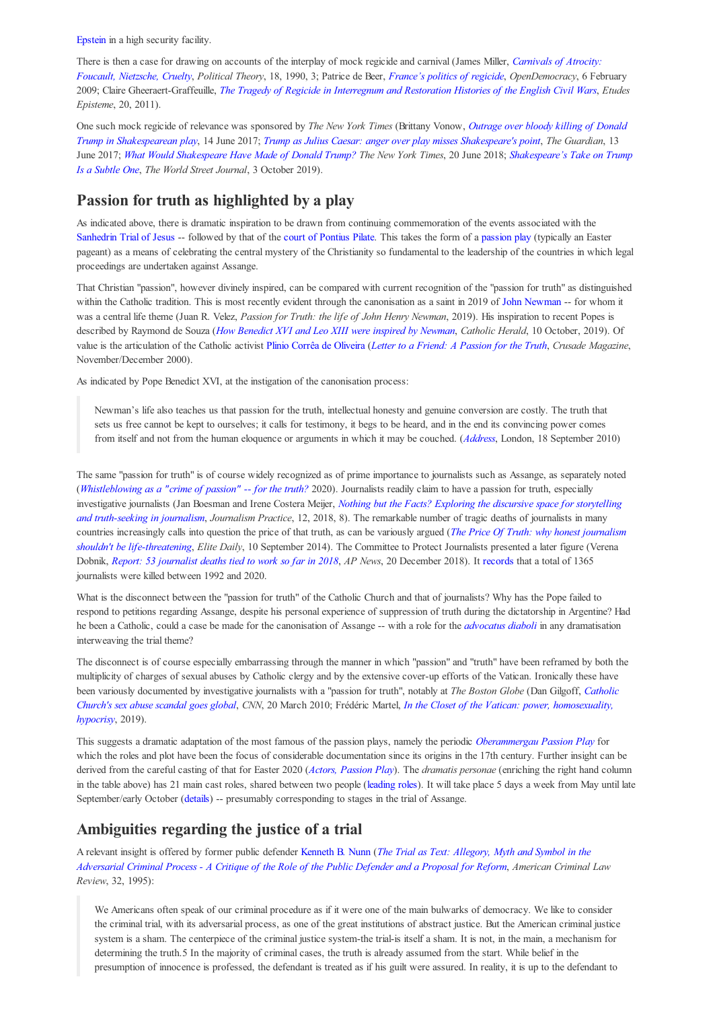Epstein in a high security facility.

There is then a case for drawing on accounts of the interplay of mock regicide and carnival (James Miller, *Carnivals of Atrocity: Foucault, Nietzsche, Cruelty*, *Political Theory*, 18, 1990, 3; Patrice de Beer, *France's politics of regicide*, *OpenDemocracy*, 6 February 2009; Claire Gheeraert-Graffeuille, *The Tragedy of Regicide in Interregnum and Restoration Histories of the English Civil Wars*, *Etudes Episteme*, 20, 2011).

One such mock regicide of relevance was sponsored by *The New York Times* (Brittany Vonow, *Outrage over bloody killing of Donald Trump in Shakespearean play*, 14 June 2017; *Trump as Julius Caesar: anger over play misses Shakespeare's point*, *The Guardian*, 13 June 2017; *What Would Shakespeare Have Made of Donald Trump? The New York Times*, 20 June 2018; *Shakespeare's Take on Trump Is a Subtle One*, *The World Street Journal*, 3 October 2019).

# **Passion for truth as highlighted by a play**

As indicated above, there is dramatic inspiration to be drawn from continuing commemoration of the events associated with the Sanhedrin Trial of Jesus -- followed by that of the court of Pontius Pilate. This takes the form of a passion play (typically an Easter pageant) as a means of celebrating the central mystery of the Christianity so fundamental to the leadership of the countries in which legal proceedings are undertaken against Assange.

That Christian "passion", however divinely inspired, can be compared with current recognition of the "passion for truth" as distinguished within the Catholic tradition. This is most recently evident through the canonisation as a saint in 2019 of John Newman -- for whom it was a central life theme (Juan R. Velez, *Passion for Truth: the life of John Henry Newman*, 2019). His inspiration to recent Popes is described by Raymond de Souza (*How Benedict XVI and Leo XIII were inspired by Newman*, *Catholic Herald*, 10 October, 2019). Of value is the articulation of the Catholic activist Plinio Corrêa de Oliveira (*Letter to a Friend: A Passion for the Truth*, *Crusade Magazine*, November/December 2000).

As indicated by Pope Benedict XVI, at the instigation of the canonisation process:

Newman's life also teaches us that passion for the truth, intellectual honesty and genuine conversion are costly. The truth that sets us free cannot be kept to ourselves; it calls for testimony, it begs to be heard, and in the end its convincing power comes from itself and not from the human eloquence or arguments in which it may be couched. (*Address*, London, 18 September 2010)

The same "passion for truth" is of course widely recognized as of prime importance to journalists such as Assange, as separately noted (*Whistleblowing as a "crime of passion" -- for the truth?* 2020). Journalists readily claim to have a passion for truth, especially investigative journalists (Jan Boesman and Irene Costera Meijer, *Nothing but the Facts? Exploring the discursive space for storytelling and truth-seeking in journalism*, *Journalism Practice*, 12, 2018, 8). The remarkable number of tragic deaths of journalists in many countries increasingly calls into question the price of that truth, as can be variously argued (*The Price Of Truth: why honest journalism shouldn't be life-threatening*, *Elite Daily*, 10 September 2014). The Committee to Protect Journalists presented a later figure (Verena Dobnik, *Report: 53 journalist deaths tied to work so far in 2018*, *AP News*, 20 December 2018). It records that a total of 1365 journalists were killed between 1992 and 2020.

What is the disconnect between the "passion for truth" of the Catholic Church and that of journalists? Why has the Pope failed to respond to petitions regarding Assange, despite his personal experience of suppression of truth during the dictatorship in Argentine? Had he been a Catholic, could a case be made for the canonisation of Assange -- with a role for the *advocatus diaboli* in any dramatisation interweaving the trial theme?

The disconnect is of course especially embarrassing through the manner in which "passion" and "truth" have been reframed by both the multiplicity of charges of sexual abuses by Catholic clergy and by the extensive cover-up efforts of the Vatican. Ironically these have been variously documented by investigative journalists with a "passion for truth", notably at *The Boston Globe* (Dan Gilgoff, *Catholic Church's sex abuse scandal goes global*, *CNN*, 20 March 2010; Frédéric Martel, *In the Closet of the Vatican: power, homosexuality, hypocrisy*, 2019).

This suggests a dramatic adaptation of the most famous of the passion plays, namely the periodic *Oberammergau Passion Play* for which the roles and plot have been the focus of considerable documentation since its origins in the 17th century. Further insight can be derived from the careful casting of that for Easter 2020 (*Actors, Passion Play*). The *dramatis personae* (enriching the right hand column in the table above) has 21 main cast roles, shared between two people (leading roles). It will take place 5 days a week from May until late September/early October (details) -- presumably corresponding to stages in the trial of Assange.

# **Ambiguities regarding the justice of a trial**

A relevant insight is offered by former public defender Kenneth B. Nunn (*The Trial as Text: Allegory, Myth and Symbol in the Adversarial Criminal Process - A Critique of the Role of the Public Defender and a Proposal for Reform*, *American Criminal Law Review*, 32, 1995):

We Americans often speak of our criminal procedure as if it were one of the main bulwarks of democracy. We like to consider the criminal trial, with its adversarial process, as one of the great institutions of abstract justice. But the American criminal justice system is a sham. The centerpiece of the criminal justice system-the trial-is itself a sham. It is not, in the main, a mechanism for determining the truth.5 In the majority of criminal cases, the truth is already assumed from the start. While belief in the presumption of innocence is professed, the defendant is treated as if his guilt were assured. In reality, it is up to the defendant to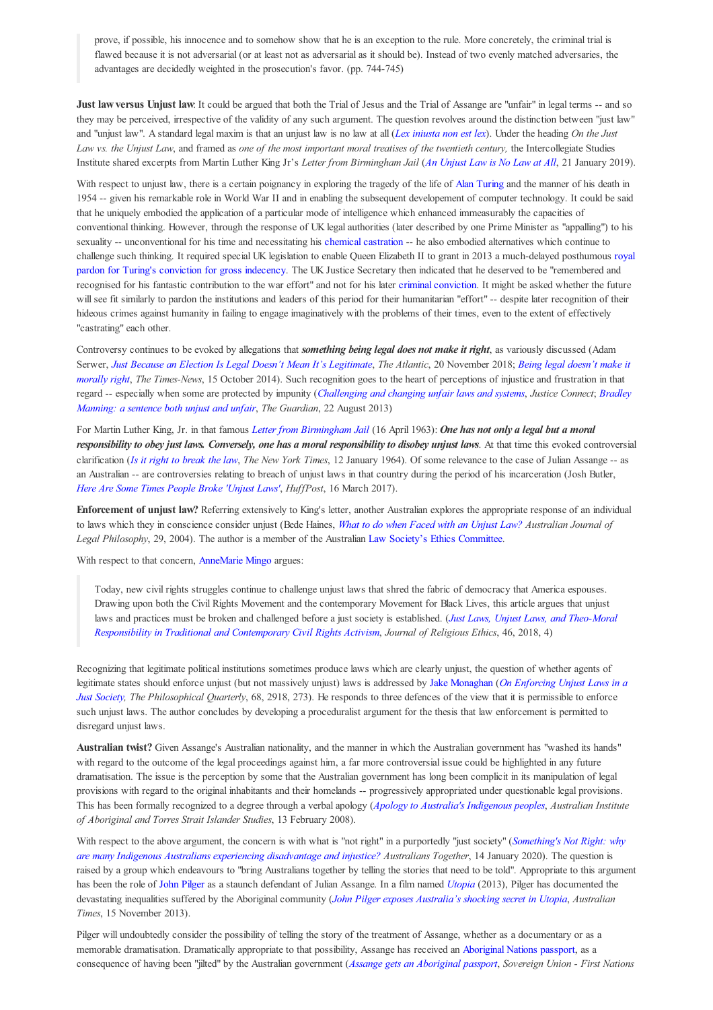prove, if possible, his innocence and to somehow show that he is an exception to the rule. More concretely, the criminal trial is flawed because it is not adversarial (or at least not as adversarial as it should be). Instead of two evenly matched adversaries, the advantages are decidedly weighted in the prosecution's favor. (pp. 744-745)

**Just law versus Unjust law**: It could be argued that both the Trial of Jesus and the Trial of Assange are "unfair" in legal terms -- and so they may be perceived, irrespective of the validity of any such argument. The question revolves around the distinction between "just law" and "unjust law". A standard legal maxim is that an unjust law is no law at all (*Lex iniusta non est lex*). Under the heading *On the Just* Law vs. the Unjust Law, and framed as one of the most important moral treatises of the twentieth century, the Intercollegiate Studies Institute shared excerpts from Martin Luther King Jr's *Letter from Birmingham Jail* (*An Unjust Law is No Law at All*, 21 January 2019).

With respect to unjust law, there is a certain poignancy in exploring the tragedy of the life of Alan Turing and the manner of his death in 1954 -- given his remarkable role in World War II and in enabling the subsequent developement of computer technology. It could be said that he uniquely embodied the application of a particular mode of intelligence which enhanced immeasurably the capacities of conventional thinking. However, through the response of UK legal authorities (later described by one Prime Minister as "appalling") to his sexuality -- unconventional for his time and necessitating his chemical castration -- he also embodied alternatives which continue to challenge such thinking. It required special UK legislation to enable Queen Elizabeth II to grant in 2013 a much-delayed posthumous royal pardon for Turing's conviction for gross indecency. The UK Justice Secretary then indicated that he deserved to be "remembered and recognised for his fantastic contribution to the war effort" and not for his later criminal conviction. It might be asked whether the future will see fit similarly to pardon the institutions and leaders of this period for their humanitarian "effort" -- despite later recognition of their hideous crimes against humanity in failing to engage imaginatively with the problems of their times, even to the extent of effectively "castrating" each other.

Controversy continues to be evoked by allegations that *something being legal does not make it right*, as variously discussed (Adam Serwer, *Just Because an Election Is Legal Doesn't Mean It's Legitimate*, *The Atlantic*, 20 November 2018; *Being legal doesn't make it morally right*, *The Times-News*, 15 October 2014). Such recognition goes to the heart of perceptions of injustice and frustration in that regard -- especially when some are protected by impunity (*Challenging and changing unfair laws and systems*, *Justice Connect*; *Bradley Manning: a sentence both unjust and unfair*, *The Guardian*, 22 August 2013)

For Martin Luther King, Jr. in that famous *Letter from Birmingham Jail* (16 April 1963): *One has not only a legal but a moral responsibility to obey just laws. Conversely, one has a moral responsibility to disobey unjust laws*. At that time this evoked controversial clarification (*Is it right to break the law*, *The New York Times*, 12 January 1964). Of some relevance to the case of Julian Assange -- as an Australian -- are controversies relating to breach of unjust laws in that country during the period of his incarceration (Josh Butler, *Here Are Some Times People Broke 'Unjust Laws'*, *HuffPost*, 16 March 2017).

**Enforcement of unjust law?** Referring extensively to King's letter, another Australian explores the appropriate response of an individual to laws which they in conscience consider unjust (Bede Haines, *What to do when Faced with an Unjust Law? Australian Journal of Legal Philosophy*, 29, 2004). The author is a member of the Australian Law Society's Ethics Committee.

With respect to that concern, AnneMarie Mingo argues:

Today, new civil rights struggles continue to challenge unjust laws that shred the fabric of democracy that America espouses. Drawing upon both the Civil Rights Movement and the contemporary Movement for Black Lives, this article argues that unjust laws and practices must be broken and challenged before a just society is established. (*Just Laws, Unjust Laws, and Theo‐Moral Responsibility in Traditional and Contemporary Civil Rights Activism*, *Journal of Religious Ethics*, 46, 2018, 4)

Recognizing that legitimate political institutions sometimes produce laws which are clearly unjust, the question of whether agents of legitimate states should enforce unjust (but not massively unjust) laws is addressed by Jake Monaghan (*On Enforcing Unjust Laws in a Just Society, The Philosophical Quarterly*, 68, 2918, 273). He responds to three defences of the view that it is permissible to enforce such unjust laws. The author concludes by developing a proceduralist argument for the thesis that law enforcement is permitted to disregard unjust laws.

**Australian twist?** Given Assange's Australian nationality, and the manner in which the Australian government has "washed its hands" with regard to the outcome of the legal proceedings against him, a far more controversial issue could be highlighted in any future dramatisation. The issue is the perception by some that the Australian government has long been complicit in its manipulation of legal provisions with regard to the original inhabitants and their homelands -- progressively appropriated under questionable legal provisions. This has been formally recognized to a degree through a verbal apology (*Apology to Australia's Indigenous peoples*, *Australian Institute of Aboriginal and Torres Strait Islander Studies*, 13 February 2008).

With respect to the above argument, the concern is with what is "not right" in a purportedly "just society" (*Something's Not Right: why are many Indigenous Australians experiencing disadvantage and injustice? Australians Together*, 14 January 2020). The question is raised by a group which endeavours to "bring Australians together by telling the stories that need to be told". Appropriate to this argument has been the role of John Pilger as a staunch defendant of Julian Assange. In a film named *Utopia* (2013), Pilger has documented the devastating inequalities suffered by the Aboriginal community (*John Pilger exposes Australia's shocking secret in Utopia*, *Australian Times*, 15 November 2013).

Pilger will undoubtedly consider the possibility of telling the story of the treatment of Assange, whether as a documentary or as a memorable dramatisation. Dramatically appropriate to that possibility, Assange has received an Aboriginal Nations passport, as a consequence of having been "jilted" by the Australian government (*Assange gets an Aboriginal passport*, *Sovereign Union - First Nations*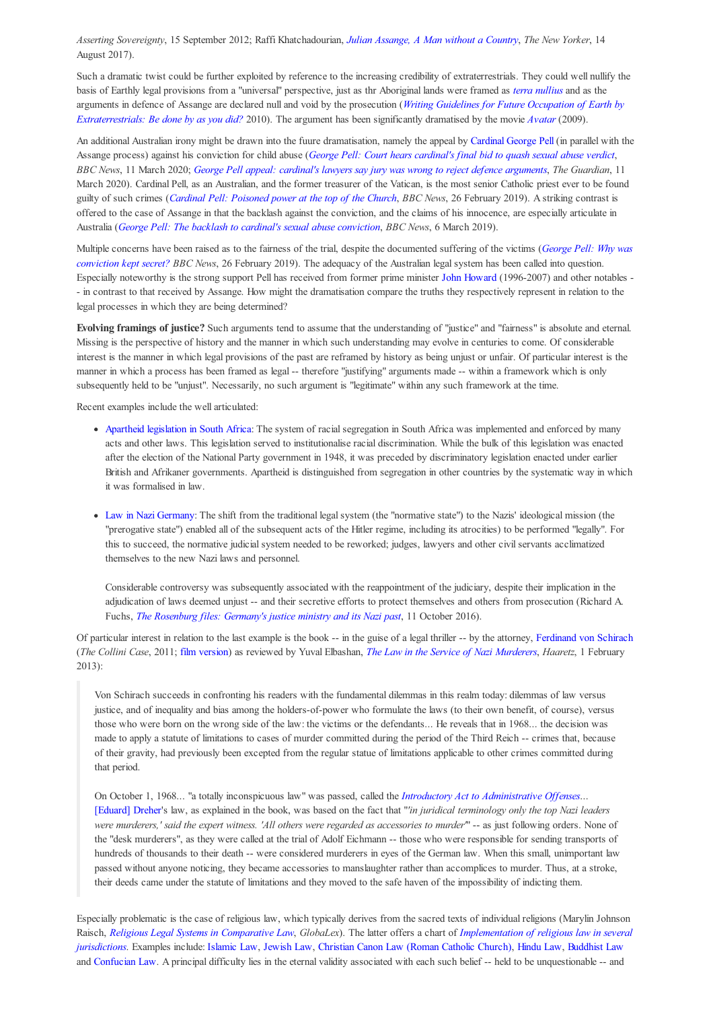*Asserting Sovereignty*, 15 September 2012; Raffi Khatchadourian, *Julian Assange, A Man without a Country*, *The New Yorker*, 14 August 2017).

Such a dramatic twist could be further exploited by reference to the increasing credibility of extraterrestrials. They could well nullify the basis of Earthly legal provisions from a "universal" perspective, just as thr Aboriginal lands were framed as *terra nullius* and as the arguments in defence of Assange are declared null and void by the prosecution (*Writing Guidelines for Future Occupation of Earth by Extraterrestrials: Be done by as you did?* 2010). The argument has been significantly dramatised by the movie *Avatar* (2009).

An additional Australian irony might be drawn into the fuure dramatisation, namely the appeal by Cardinal George Pell (in parallel with the Assange process) against his conviction for child abuse (*George Pell: Court hears cardinal's final bid to quash sexual abuse verdict*, *BBC News*, 11 March 2020; *George Pell appeal: cardinal's lawyers say jury was wrong to reject defence arguments*, *The Guardian*, 11 March 2020). Cardinal Pell, as an Australian, and the former treasurer of the Vatican, is the most senior Catholic priest ever to be found guilty of such crimes (*Cardinal Pell: Poisoned power at the top of the Church*, *BBC News*, 26 February 2019). A striking contrast is offered to the case of Assange in that the backlash against the conviction, and the claims of his innocence, are especially articulate in Australia (*George Pell: The backlash to cardinal's sexual abuse conviction*, *BBC News*, 6 March 2019).

Multiple concerns have been raised as to the fairness of the trial, despite the documented suffering of the victims (*George Pell: Why was conviction kept secret? BBC News*, 26 February 2019). The adequacy of the Australian legal system has been called into question. Especially noteworthy is the strong support Pell has received from former prime minister John Howard (1996-2007) and other notables - - in contrast to that received by Assange. How might the dramatisation compare the truths they respectively represent in relation to the legal processes in which they are being determined?

**Evolving framings of justice?** Such arguments tend to assume that the understanding of "justice" and "fairness" is absolute and eternal. Missing is the perspective of history and the manner in which such understanding may evolve in centuries to come. Of considerable interest is the manner in which legal provisions of the past are reframed by history as being unjust or unfair. Of particular interest is the manner in which a process has been framed as legal -- therefore "justifying" arguments made -- within a framework which is only subsequently held to be "unjust". Necessarily, no such argument is "legitimate" within any such framework at the time.

Recent examples include the well articulated:

- Apartheid legislation in South Africa: The system of racial segregation in South Africa was implemented and enforced by many acts and other laws. This legislation served to institutionalise racial discrimination. While the bulk of this legislation was enacted after the election of the National Party government in 1948, it was preceded by discriminatory legislation enacted under earlier British and Afrikaner governments. Apartheid is distinguished from segregation in other countries by the systematic way in which it was formalised in law.
- Law in Nazi Germany: The shift from the traditional legal system (the "normative state") to the Nazis' ideological mission (the "prerogative state") enabled all of the subsequent acts of the Hitler regime, including its atrocities) to be performed "legally". For this to succeed, the normative judicial system needed to be reworked; judges, lawyers and other civil servants acclimatized themselves to the new Nazi laws and personnel.

Considerable controversy was subsequently associated with the reappointment of the judiciary, despite their implication in the adjudication of laws deemed unjust -- and their secretive efforts to protect themselves and others from prosecution (Richard A. Fuchs, *The Rosenburg files: Germany's justice ministry and its Nazi past*, 11 October 2016).

Of particular interest in relation to the last example is the book -- in the guise of a legal thriller -- by the attorney, Ferdinand von Schirach (*The Collini Case*, 2011; film version) as reviewed by Yuval Elbashan, *The Law in the Service of Nazi Murderers*, *Haaretz*, 1 February 2013):

Von Schirach succeeds in confronting his readers with the fundamental dilemmas in this realm today: dilemmas of law versus justice, and of inequality and bias among the holders-of-power who formulate the laws (to their own benefit, of course), versus those who were born on the wrong side of the law: the victims or the defendants... He reveals that in 1968... the decision was made to apply a statute of limitations to cases of murder committed during the period of the Third Reich -- crimes that, because of their gravity, had previously been excepted from the regular statue of limitations applicable to other crimes committed during that period.

On October 1, 1968... "a totally inconspicuous law" was passed, called the *Introductory Act to Administrative Offenses*... [Eduard] Dreher's law, as explained in the book, was based on the fact that "*'in juridical terminology only the top Nazi leaders were murderers,' said the expert witness. 'All others were regarded as accessories to murder'*" -- as just following orders. None of the "desk murderers", as they were called at the trial of Adolf Eichmann -- those who were responsible for sending transports of hundreds of thousands to their death -- were considered murderers in eyes of the German law. When this small, unimportant law passed without anyone noticing, they became accessories to manslaughter rather than accomplices to murder. Thus, at a stroke, their deeds came under the statute of limitations and they moved to the safe haven of the impossibility of indicting them.

Especially problematic is the case of religious law, which typically derives from the sacred texts of individual religions (Marylin Johnson Raisch, *Religious Legal Systems in Comparative Law*, *GlobaLex*). The latter offers a chart of *Implementation of religious law in several jurisdictions*. Examples include: Islamic Law, Jewish Law, Christian Canon Law (Roman Catholic Church), Hindu Law, Buddhist Law and Confucian Law. A principal difficulty lies in the eternal validity associated with each such belief -- held to be unquestionable -- and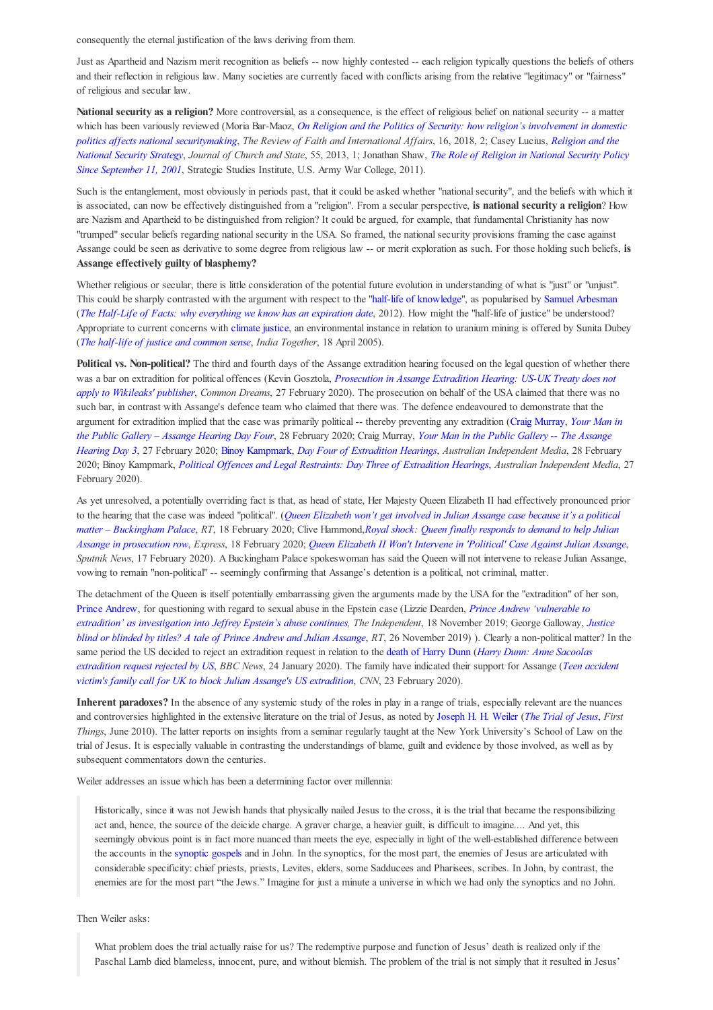consequently the eternal justification of the laws deriving from them.

Just as Apartheid and Nazism merit recognition as beliefs -- now highly contested -- each religion typically questions the beliefs of others and their reflection in religious law. Many societies are currently faced with conflicts arising from the relative "legitimacy" or "fairness" of religious and secular law.

National security as a religion? More controversial, as a consequence, is the effect of religious belief on national security -- a matter which has been variously reviewed (Moria Bar-Maoz, *On Religion and the Politics of Security: how religion's involvement in domestic politics affects national securitymaking*, *The Review of Faith and International Affairs*, 16, 2018, 2; Casey Lucius, *Religion and the National Security Strategy*, *Journal of Church and State*, 55, 2013, 1; Jonathan Shaw, *The Role of Religion in National Security Policy Since September 11, 2001*, Strategic Studies Institute, U.S. Army War College, 2011).

Such is the entanglement, most obviously in periods past, that it could be asked whether "national security", and the beliefs with which it is associated, can now be effectively distinguished from a "religion". From a secular perspective, **is national security a religion**? How are Nazism and Apartheid to be distinguished from religion? It could be argued, for example, that fundamental Christianity has now "trumped" secular beliefs regarding national security in the USA. So framed, the national security provisions framing the case against Assange could be seen as derivative to some degree from religious law -- or merit exploration as such. For those holding such beliefs, **is Assange effectively guilty of blasphemy?**

Whether religious or secular, there is little consideration of the potential future evolution in understanding of what is "just" or "unjust". This could be sharply contrasted with the argument with respect to the "half-life of knowledge", as popularised by Samuel Arbesman (*The Half-Life of Facts: why everything we know has an expiration date*, 2012). How might the "half-life of justice" be understood? Appropriate to current concerns with climate justice, an environmental instance in relation to uranium mining is offered by Sunita Dubey (*The half-life of justice and common sense*, *India Together*, 18 April 2005).

**Political vs. Non-political?** The third and fourth days of the Assange extradition hearing focused on the legal question of whether there was a bar on extradition for political offences (Kevin Gosztola, *Prosecution in Assange Extradition Hearing: US-UK Treaty does not apply to Wikileaks' publisher*, *Common Dreams*, 27 February 2020). The prosecution on behalf of the USA claimed that there was no such bar, in contrast with Assange's defence team who claimed that there was. The defence endeavoured to demonstrate that the argument for extradition implied that the case was primarily political -- thereby preventing any extradition (Craig Murray, *Your Man in the Public Gallery – Assange Hearing Day Four*, 28 February 2020; Craig Murray, *Your Man in the Public Gallery -- The Assange Hearing Day 3*, 27 February 2020; Binoy Kampmark, *Day Four of Extradition Hearings*, *Australian Independent Media*, 28 February 2020; Binoy Kampmark, *Political Offences and Legal Restraints: Day Three of Extradition Hearings*, *Australian Independent Media*, 27 February 2020).

As yet unresolved, a potentially overriding fact is that, as head of state, Her Majesty Queen Elizabeth II had effectively pronounced prior to the hearing that the case was indeed "political". (*Queen Elizabeth won't get involved in Julian Assange case because it's a political matter – Buckingham Palace*, *RT*, 18 February 2020; Clive Hammond,*Royal shock: Queen finally responds to demand to help Julian Assange in prosecution row*, *Express*, 18 February 2020; *Queen Elizabeth II Won't Intervene in 'Political' Case Against Julian Assange*, *Sputnik News*, 17 February 2020). A Buckingham Palace spokeswoman has said the Queen will not intervene to release Julian Assange, vowing to remain "non-political" -- seemingly confirming that Assange's detention is a political, not criminal, matter.

The detachment of the Queen is itself potentially embarrassing given the arguments made by the USA for the "extradition" of her son, Prince Andrew, for questioning with regard to sexual abuse in the Epstein case (Lizzie Dearden, *Prince Andrew 'vulnerable to extradition' as investigation into Jeffrey Epstein's abuse continues, The Independent*, 18 November 2019; George Galloway, *Justice blind or blinded by titles? A tale of Prince Andrew and Julian Assange*, *RT*, 26 November 2019) ). Clearly a non-political matter? In the same period the US decided to reject an extradition request in relation to the death of Harry Dunn (*Harry Dunn: Anne Sacoolas extradition request rejected by US*, *BBC News*, 24 January 2020). The family have indicated their support for Assange (*Teen accident victim's family call for UK to block Julian Assange's US extradition*, *CNN*, 23 February 2020).

**Inherent paradoxes?** In the absence of any systemic study of the roles in play in a range of trials, especially relevant are the nuances and controversies highlighted in the extensive literature on the trial of Jesus, as noted by Joseph H. H. Weiler (*The Trial of Jesus*, *First Things*, June 2010). The latter reports on insights from a seminar regularly taught at the New York University's School of Law on the trial of Jesus. It is especially valuable in contrasting the understandings of blame, guilt and evidence by those involved, as well as by subsequent commentators down the centuries.

Weiler addresses an issue which has been a determining factor over millennia:

Historically, since it was not Jewish hands that physically nailed Jesus to the cross, it is the trial that became the responsibilizing act and, hence, the source of the deicide charge. A graver charge, a heavier guilt, is difficult to imagine.... And yet, this seemingly obvious point is in fact more nuanced than meets the eye, especially in light of the well-established difference between the accounts in the synoptic gospels and in John. In the synoptics, for the most part, the enemies of Jesus are articulated with considerable specificity: chief priests, priests, Levites, elders, some Sadducees and Pharisees, scribes. In John, by contrast, the enemies are for the most part "the Jews." Imagine for just a minute a universe in which we had only the synoptics and no John.

Then Weiler asks:

What problem does the trial actually raise for us? The redemptive purpose and function of Jesus' death is realized only if the Paschal Lamb died blameless, innocent, pure, and without blemish. The problem of the trial is not simply that it resulted in Jesus'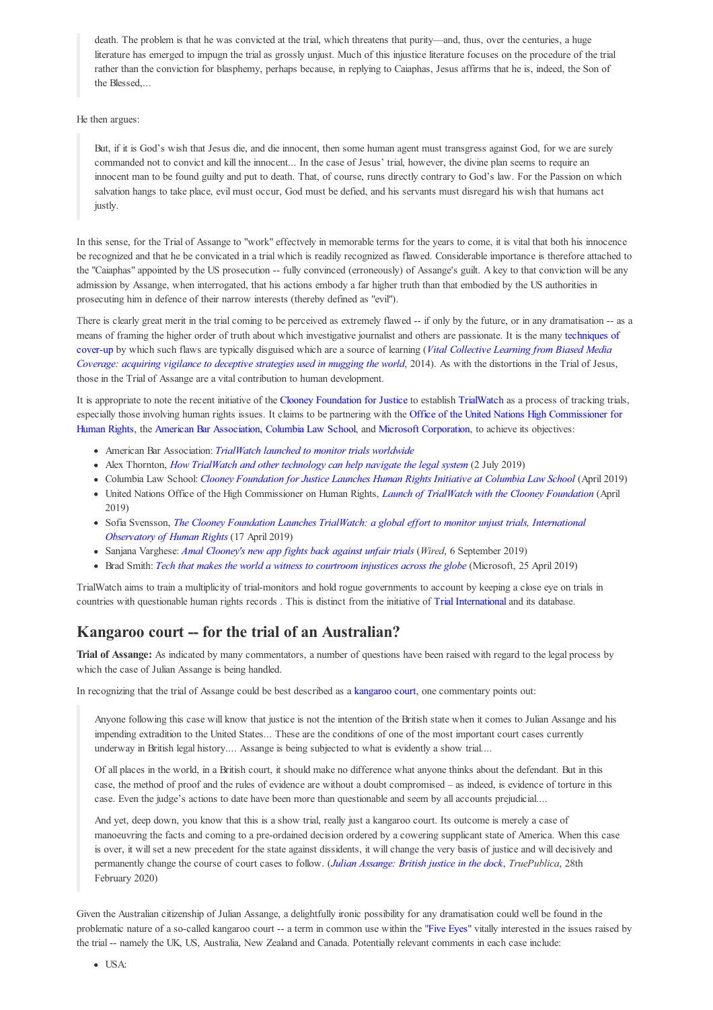death. The problem is that he was convicted at the trial, which threatens that purity—and, thus, over the centuries, a huge literature has emerged to impugn the trial as grossly unjust. Much of this injustice literature focuses on the procedure of the trial rather than the conviction for blasphemy, perhaps because, in replying to Caiaphas, Jesus affirms that he is, indeed, the Son of the Blessed,...

#### He then argues:

But, if it is God's wish that Jesus die, and die innocent, then some human agent must transgress against God, for we are surely commanded not to convict and kill the innocent... In the case of Jesus' trial, however, the divine plan seems to require an innocent man to be found guilty and put to death. That, of course, runs directly contrary to God's law. For the Passion on which salvation hangs to take place, evil must occur, God must be defied, and his servants must disregard his wish that humans act justly.

In this sense, for the Trial of Assange to "work" effectvely in memorable terms for the years to come, it is vital that both his innocence be recognized and that he be convicated in a trial which is readily recognized as flawed. Considerable importance is therefore attached to the "Caiaphas" appointed by the US prosecution -- fully convinced (erroneously) of Assange's guilt. A key to that conviction will be any admission by Assange, when interrogated, that his actions embody a far higher truth than that embodied by the US authorities in prosecuting him in defence of their narrow interests (thereby defined as "evil").

There is clearly great merit in the trial coming to be perceived as extremely flawed -- if only by the future, or in any dramatisation -- as a means of framing the higher order of truth about which investigative journalist and others are passionate. It is the many techniques of cover-up by which such flaws are typically disguised which are a source of learning (*Vital Collective Learning from Biased Media Coverage: acquiring vigilance to deceptive strategies used in mugging the world*, 2014). As with the distortions in the Trial of Jesus, those in the Trial of Assange are a vital contribution to human development.

It is appropriate to note the recent initiative of the Clooney Foundation for Justice to establish TrialWatch as a process of tracking trials, especially those involving human rights issues. It claims to be partnering with the Office of the United Nations High Commissioner for Human Rights, the American Bar Association, Columbia Law School, and Microsoft Corporation, to achieve its objectives:

- American Bar Association: *TrialWatch launched to monitor trials worldwide*
- Alex Thornton, *How TrialWatch and other technology can help navigate the legal system* (2 July 2019)
- Columbia Law School: *Clooney Foundation for Justice Launches Human Rights Initiative at Columbia Law School* (April 2019)
- United Nations Office of the High Commissioner on Human Rights, *Launch of TrialWatch with the Clooney Foundation* (April 2019)
- Sofia Svensson, *The Clooney Foundation Launches TrialWatch: a global effort to monitor unjust trials, International Observatory of Human Rights* (17 April 2019)
- Sanjana Varghese: *Amal Clooney's new app fights back against unfair trials* (*Wired*, 6 September 2019)
- Brad Smith: *Tech that makes the world a witness to courtroom injustices across the globe* (Microsoft, 25 April 2019)

TrialWatch aims to train a multiplicity of trial-monitors and hold rogue governments to account by keeping a close eye on trials in countries with questionable human rights records . This is distinct from the initiative of Trial International and its database.

### **Kangaroo court -- for the trial of an Australian?**

**Trial of Assange:** As indicated by many commentators, a number of questions have been raised with regard to the legal process by which the case of Julian Assange is being handled.

In recognizing that the trial of Assange could be best described as a kangaroo court, one commentary points out:

Anyone following this case will know that justice is not the intention of the British state when it comes to Julian Assange and his impending extradition to the United States... These are the conditions of one of the most important court cases currently underway in British legal history.... Assange is being subjected to what is evidently a show trial....

Of all places in the world, in a British court, it should make no difference what anyone thinks about the defendant. But in this case, the method of proof and the rules of evidence are without a doubt compromised – as indeed, is evidence of torture in this case. Even the judge's actions to date have been more than questionable and seem by all accounts prejudicial....

And yet, deep down, you know that this is a show trial, really just a kangaroo court. Its outcome is merely a case of manoeuvring the facts and coming to a pre-ordained decision ordered by a cowering supplicant state of America. When this case is over, it will set a new precedent for the state against dissidents, it will change the very basis of justice and will decisively and permanently change the course of court cases to follow. (*Julian Assange: British justice in the dock*, *TruePublica*, 28th February 2020)

Given the Australian citizenship of Julian Assange, a delightfully ironic possibility for any dramatisation could well be found in the problematic nature of a so-called kangaroo court -- a term in common use within the "Five Eyes" vitally interested in the issues raised by the trial -- namely the UK, US, Australia, New Zealand and Canada. Potentially relevant comments in each case include: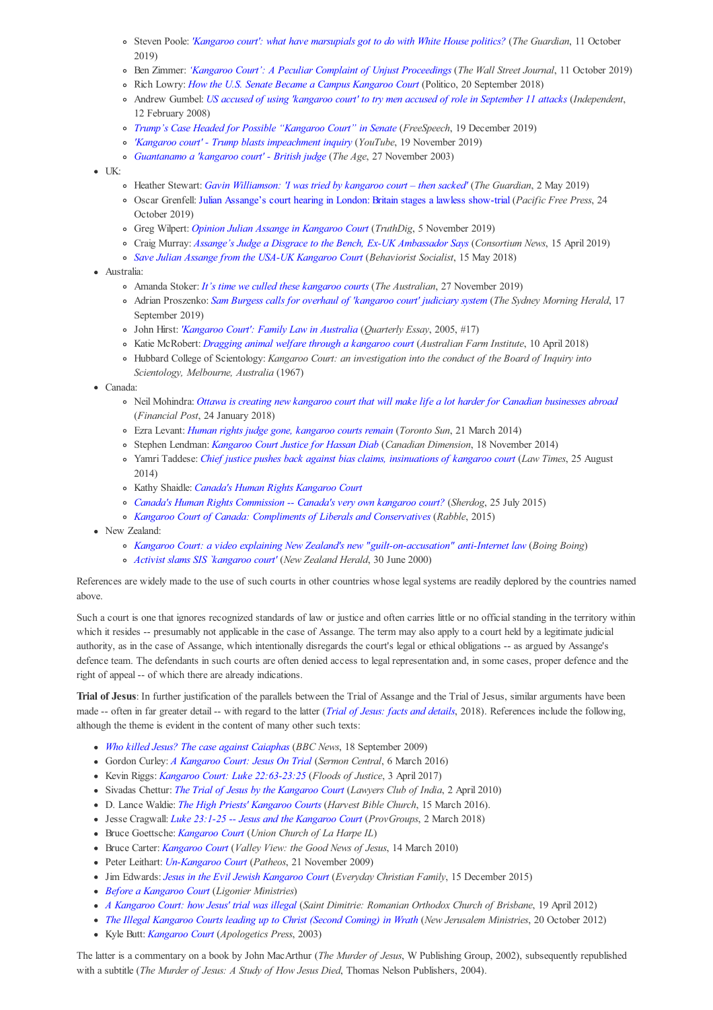- Steven Poole: *'Kangaroo court': what have marsupials got to do with White House politics?* (*The Guardian*, 11 October 2019)
- Ben Zimmer: *'Kangaroo Court': A Peculiar Complaint of Unjust Proceedings* (*The Wall Street Journal*, 11 October 2019)
- Rich Lowry: *How the U.S. Senate Became a Campus Kangaroo Court* (Politico, 20 September 2018)
- Andrew Gumbel: *US accused of using 'kangaroo court' to try men accused of role in September 11 attacks* (*Independent*, 12 February 2008)
- *Trump's Case Headed for Possible "Kangaroo Court" in Senate* (*FreeSpeech*, 19 December 2019)
- *'Kangaroo court' Trump blasts impeachment inquiry* (*YouTube*, 19 November 2019)
- *Guantanamo a 'kangaroo court' British judge* (*The Age*, 27 November 2003)
- $\bullet$  UK:
	- Heather Stewart: *Gavin Williamson: 'I was tried by kangaroo court then sacked'* (*The Guardian*, 2 May 2019)
	- Oscar Grenfell: Julian Assange's court hearing in London: Britain stages a lawless show-trial (*Pacific Free Press*, 24 October 2019)
	- Greg Wilpert: *Opinion Julian Assange in Kangaroo Court* (*TruthDig*, 5 November 2019)
	- Craig Murray: *Assange's Judge a Disgrace to the Bench, Ex-UK Ambassador Says* (*Consortium News*, 15 April 2019)
	- *Save Julian Assange from the USA-UK Kangaroo Court* (*Behaviorist Socialist*, 15 May 2018)
- Australia:
	- Amanda Stoker: *It's time we culled these kangaroo courts* (*The Australian*, 27 November 2019)
	- Adrian Proszenko: *Sam Burgess calls for overhaul of 'kangaroo court' judiciary system* (*The Sydney Morning Herald*, 17 September 2019)
	- John Hirst: *'Kangaroo Court': Family Law in Australia* (*Quarterly Essay*, 2005, #17)
	- Katie McRobert: *Dragging animal welfare through a kangaroo court* (*Australian Farm Institute*, 10 April 2018)
	- Hubbard College of Scientology: *Kangaroo Court: an investigation into the conduct of the Board of Inquiry into Scientology, Melbourne, Australia* (1967)
- Canada:
	- Neil Mohindra: *Ottawa is creating new kangaroo court that will make life a lot harder for Canadian businesses abroad* (*Financial Post*, 24 January 2018)
	- Ezra Levant: *Human rights judge gone, kangaroo courts remain* (*Toronto Sun*, 21 March 2014)
	- Stephen Lendman: *Kangaroo Court Justice for Hassan Diab* (*Canadian Dimension*, 18 November 2014)
	- Yamri Taddese: *Chief justice pushes back against bias claims, insinuations of kangaroo court* (*Law Times*, 25 August 2014)
	- Kathy Shaidle: *Canada's Human Rights Kangaroo Court*
	- *Canada's Human Rights Commission -- Canada's very own kangaroo court?* (*Sherdog*, 25 July 2015)
	- *Kangaroo Court of Canada: Compliments of Liberals and Conservatives* (*Rabble*, 2015)
- New Zealand:
	- *Kangaroo Court: a video explaining New Zealand's new "guilt-on-accusation" anti-Internet law* (*Boing Boing*)
	- *Activist slams SIS `kangaroo court'* (*New Zealand Herald*, 30 June 2000)

References are widely made to the use of such courts in other countries whose legal systems are readily deplored by the countries named above.

Such a court is one that ignores recognized standards of law or justice and often carries little or no official standing in the territory within which it resides -- presumably not applicable in the case of Assange. The term may also apply to a court held by a legitimate judicial authority, as in the case of Assange, which intentionally disregards the court's legal or ethical obligations -- as argued by Assange's defence team. The defendants in such courts are often denied access to legal representation and, in some cases, proper defence and the right of appeal -- of which there are already indications.

**Trial of Jesus**: In further justification of the parallels between the Trial of Assange and the Trial of Jesus, similar arguments have been made -- often in far greater detail -- with regard to the latter (*Trial of Jesus: facts and details*, 2018). References include the following, although the theme is evident in the content of many other such texts:

- *Who killed Jesus? The case against Caiaphas* (*BBC News*, 18 September 2009)
- Gordon Curley: *A Kangaroo Court: Jesus On Trial* (*Sermon Central*, 6 March 2016)
- Kevin Riggs: *Kangaroo Court: Luke 22:63-23:25* (*Floods of Justice*, 3 April 2017)
- Sivadas Chettur: *The Trial of Jesus by the Kangaroo Court* (*Lawyers Club of India*, 2 April 2010)
- D. Lance Waldie: *The High Priests' Kangaroo Courts* (*Harvest Bible Church*, 15 March 2016).
- Jesse Cragwall: *Luke 23:1-25 -- Jesus and the Kangaroo Court* (*ProvGroups*, 2 March 2018)
- Bruce Goettsche: *Kangaroo Court* (*Union Church of La Harpe IL*)
- Bruce Carter: *Kangaroo Court* (*Valley View: the Good News of Jesus*, 14 March 2010)
- Peter Leithart: *Un-Kangaroo Court* (*Patheos*, 21 November 2009)
- Jim Edwards: *Jesus in the Evil Jewish Kangaroo Court* (*Everyday Christian Family*, 15 December 2015)
- *Before a Kangaroo Court* (*Ligonier Ministries*)
- *A Kangaroo Court: how Jesus' trial was illegal* (*Saint Dimitrie: Romanian Orthodox Church of Brisbane*, 19 April 2012)
- *The Illegal Kangaroo Courts leading up to Christ (Second Coming) in Wrath* (*New Jerusalem Ministries*, 20 October 2012)
- Kyle Butt: *Kangaroo Court* (*Apologetics Press*, 2003)

The latter is a commentary on a book by John MacArthur (*The Murder of Jesus*, W Publishing Group, 2002), subsequently republished with a subtitle (*The Murder of Jesus: A Study of How Jesus Died*, Thomas Nelson Publishers, 2004).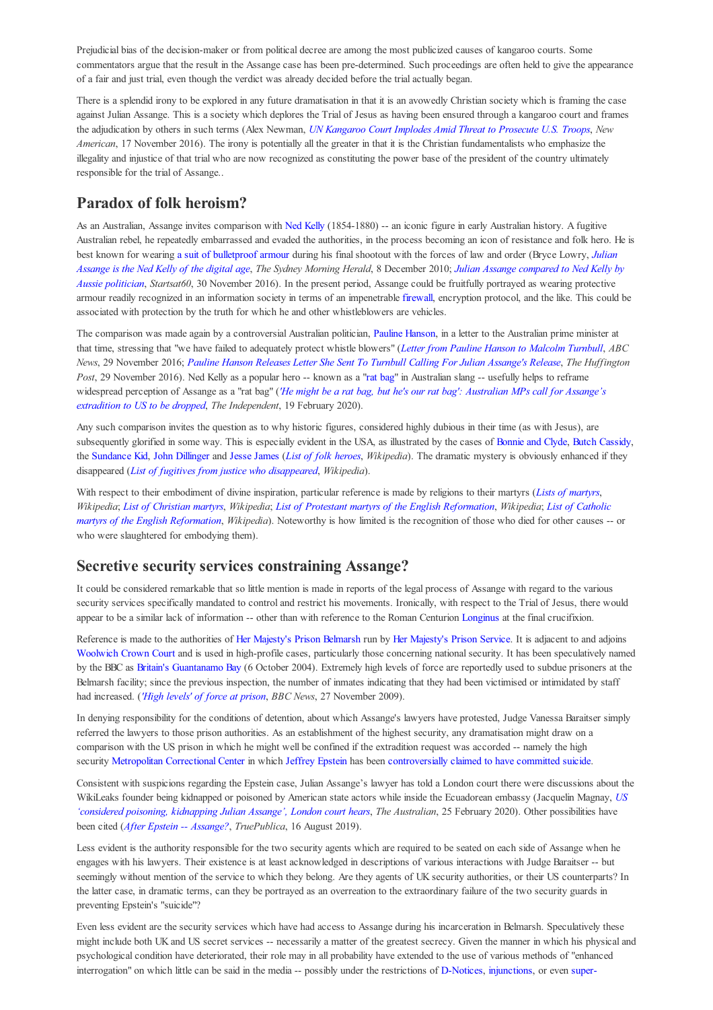Prejudicial bias of the decision-maker or from political decree are among the most publicized causes of kangaroo courts. Some commentators argue that the result in the Assange case has been pre-determined. Such proceedings are often held to give the appearance of a fair and just trial, even though the verdict was already decided before the trial actually began.

There is a splendid irony to be explored in any future dramatisation in that it is an avowedly Christian society which is framing the case against Julian Assange. This is a society which deplores the Trial of Jesus as having been ensured through a kangaroo court and frames the adjudication by others in such terms (Alex Newman, *UN Kangaroo Court Implodes Amid Threat to Prosecute U.S. Troops*, *New American*, 17 November 2016). The irony is potentially all the greater in that it is the Christian fundamentalists who emphasize the illegality and injustice of that trial who are now recognized as constituting the power base of the president of the country ultimately responsible for the trial of Assange..

## **Paradox of folk heroism?**

As an Australian, Assange invites comparison with Ned Kelly (1854-1880) -- an iconic figure in early Australian history. A fugitive Australian rebel, he repeatedly embarrassed and evaded the authorities, in the process becoming an icon of resistance and folk hero. He is best known for wearing a suit of bulletproof armour during his final shootout with the forces of law and order (Bryce Lowry, *Julian Assange is the Ned Kelly of the digital age*, *The Sydney Morning Herald*, 8 December 2010; *Julian Assange compared to Ned Kelly by Aussie politician*, *Startsat60*, 30 November 2016). In the present period, Assange could be fruitfully portrayed as wearing protective armour readily recognized in an information society in terms of an impenetrable firewall, encryption protocol, and the like. This could be associated with protection by the truth for which he and other whistleblowers are vehicles.

The comparison was made again by a controversial Australian politician, Pauline Hanson, in a letter to the Australian prime minister at that time, stressing that "we have failed to adequately protect whistle blowers" (*Letter from Pauline Hanson to Malcolm Turnbull*, *ABC News*, 29 November 2016; *Pauline Hanson Releases Letter She Sent To Turnbull Calling For Julian Assange's Release*, *The Huffington Post*, 29 November 2016). Ned Kelly as a popular hero -- known as a "rat bag" in Australian slang -- usefully helps to reframe widespread perception of Assange as a "rat bag" (*'He might be a rat bag, but he's our rat bag': Australian MPs call for Assange's extradition to US to be dropped*, *The Independent*, 19 February 2020).

Any such comparison invites the question as to why historic figures, considered highly dubious in their time (as with Jesus), are subsequently glorified in some way. This is especially evident in the USA, as illustrated by the cases of Bonnie and Clyde, Butch Cassidy, the Sundance Kid, John Dillinger and Jesse James (*List of folk heroes*, *Wikipedia*). The dramatic mystery is obviously enhanced if they disappeared (*List of fugitives from justice who disappeared*, *Wikipedia*).

With respect to their embodiment of divine inspiration, particular reference is made by religions to their martyrs (*Lists of martyrs*, *Wikipedia*; *List of Christian martyrs*, *Wikipedia*; *List of Protestant martyrs of the English Reformation*, *Wikipedia*; *List of Catholic martyrs of the English Reformation*, *Wikipedia*). Noteworthy is how limited is the recognition of those who died for other causes -- or who were slaughtered for embodying them).

### **Secretive security services constraining Assange?**

It could be considered remarkable that so little mention is made in reports of the legal process of Assange with regard to the various security services specifically mandated to control and restrict his movements. Ironically, with respect to the Trial of Jesus, there would appear to be a similar lack of information -- other than with reference to the Roman Centurion Longinus at the final crucifixion.

Reference is made to the authorities of Her Majesty's Prison Belmarsh run by Her Majesty's Prison Service. It is adjacent to and adjoins Woolwich Crown Court and is used in high-profile cases, particularly those concerning national security. It has been speculatively named by the BBC as Britain's Guantanamo Bay (6 October 2004). Extremely high levels of force are reportedly used to subdue prisoners at the Belmarsh facility; since the previous inspection, the number of inmates indicating that they had been victimised or intimidated by staff had increased. (*'High levels' of force at prison*, *BBC News*, 27 November 2009).

In denying responsibility for the conditions of detention, about which Assange's lawyers have protested, Judge Vanessa Baraitser simply referred the lawyers to those prison authorities. As an establishment of the highest security, any dramatisation might draw on a comparison with the US prison in which he might well be confined if the extradition request was accorded -- namely the high security Metropolitan Correctional Center in which Jeffrey Epstein has been controversially claimed to have committed suicide.

Consistent with suspicions regarding the Epstein case, Julian Assange's lawyer has told a London court there were discussions about the WikiLeaks founder being kidnapped or poisoned by American state actors while inside the Ecuadorean embassy (Jacquelin Magnay, *US 'considered poisoning, kidnapping Julian Assange', London court hears*, *The Australian*, 25 February 2020). Other possibilities have been cited (*After Epstein -- Assange?*, *TruePublica*, 16 August 2019).

Less evident is the authority responsible for the two security agents which are required to be seated on each side of Assange when he engages with his lawyers. Their existence is at least acknowledged in descriptions of various interactions with Judge Baraitser -- but seemingly without mention of the service to which they belong. Are they agents of UK security authorities, or their US counterparts? In the latter case, in dramatic terms, can they be portrayed as an overreation to the extraordinary failure of the two security guards in preventing Epstein's "suicide"?

Even less evident are the security services which have had access to Assange during his incarceration in Belmarsh. Speculatively these might include both UK and US secret services -- necessarily a matter of the greatest secrecy. Given the manner in which his physical and psychological condition have deteriorated, their role may in all probability have extended to the use of various methods of "enhanced interrogation" on which little can be said in the media -- possibly under the restrictions of D-Notices, injunctions, or even super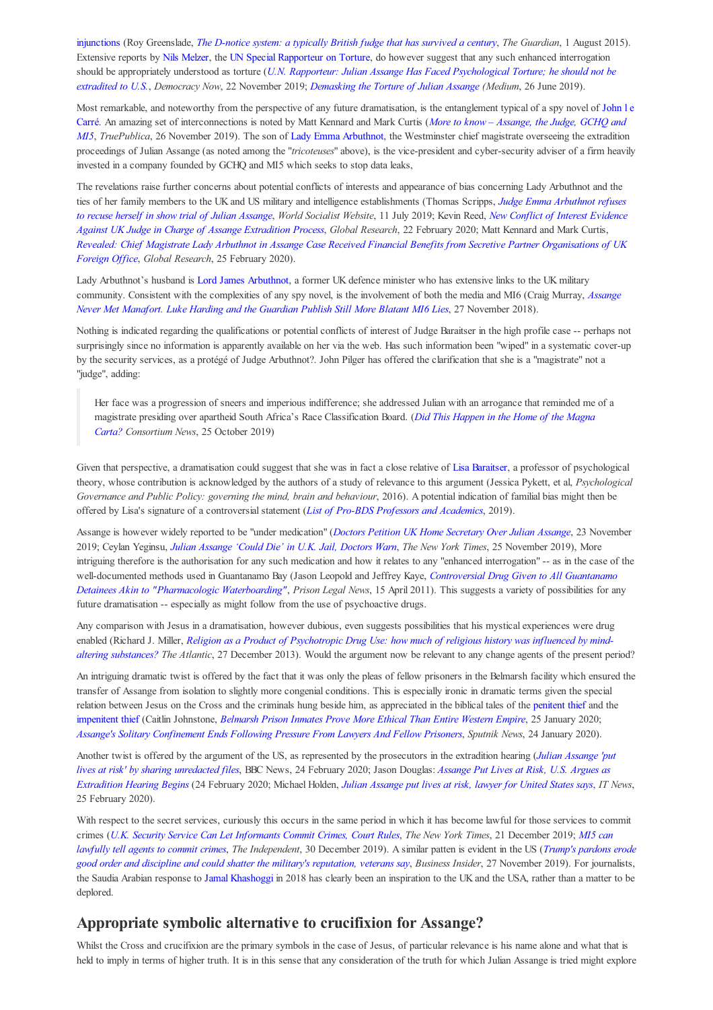injunctions (Roy Greenslade, *The D-notice system: a typically British fudge that has survived a century*, *The Guardian*, 1 August 2015). Extensive reports by Nils Melzer, the UN Special Rapporteur on Torture, do however suggest that any such enhanced interrogation should be appropriately understood as torture (*U.N. Rapporteur: Julian Assange Has Faced Psychological Torture; he should not be extradited to U.S.*, *Democracy Now*, 22 November 2019; *Demasking the Torture of Julian Assange (Medium*, 26 June 2019).

Most remarkable, and noteworthy from the perspective of any future dramatisation, is the entanglement typical of a spy novel of John 1 e Carré. An amazing set of interconnections is noted by Matt Kennard and Mark Curtis (*More to know – Assange, the Judge, GCHQ and MI5*, *TruePublica*, 26 November 2019). The son of Lady Emma Arbuthnot, the Westminster chief magistrate overseeing the extradition proceedings of Julian Assange (as noted among the "*tricoteuses*" above), is the vice-president and cyber-security adviser of a firm heavily invested in a company founded by GCHQ and MI5 which seeks to stop data leaks,

The revelations raise further concerns about potential conflicts of interests and appearance of bias concerning Lady Arbuthnot and the ties of her family members to the UK and US military and intelligence establishments (Thomas Scripps, *Judge Emma Arbuthnot refuses to recuse herself in show trial of Julian Assange*, *World Socialist Website*, 11 July 2019; Kevin Reed, *New Conflict of Interest Evidence Against UK Judge in Charge of Assange Extradition Process*, *Global Research*, 22 February 2020; Matt Kennard and Mark Curtis, *Revealed: Chief Magistrate Lady Arbuthnot in Assange Case Received Financial Benefits from Secretive Partner Organisations of UK Foreign Office*, *Global Research*, 25 February 2020).

Lady Arbuthnot's husband is Lord James Arbuthnot, a former UK defence minister who has extensive links to the UK military community. Consistent with the complexities of any spy novel, is the involvement of both the media and MI6 (Craig Murray, *Assange Never Met Manafort. Luke Harding and the Guardian Publish Still More Blatant MI6 Lies*, 27 November 2018).

Nothing is indicated regarding the qualifications or potential conflicts of interest of Judge Baraitser in the high profile case -- perhaps not surprisingly since no information is apparently available on her via the web. Has such information been "wiped" in a systematic cover-up by the security services, as a protégé of Judge Arbuthnot?. John Pilger has offered the clarification that she is a "magistrate" not a "judge", adding:

Her face was a progression of sneers and imperious indifference; she addressed Julian with an arrogance that reminded me of a magistrate presiding over apartheid South Africa's Race Classification Board. (*Did This Happen in the Home of the Magna Carta? Consortium News*, 25 October 2019)

Given that perspective, a dramatisation could suggest that she was in fact a close relative of Lisa Baraitser, a professor of psychological theory, whose contribution is acknowledged by the authors of a study of relevance to this argument (Jessica Pykett, et al, *Psychological Governance and Public Policy: governing the mind, brain and behaviour*, 2016). A potential indication of familial bias might then be offered by Lisa's signature of a controversial statement (*List of Pro-BDS Professors and Academics*, 2019).

Assange is however widely reported to be "under medication" (*Doctors Petition UK Home Secretary Over Julian Assange*, 23 November 2019; Ceylan Yeginsu, *Julian Assange 'Could Die' in U.K. Jail, Doctors Warn*, *The New York Times*, 25 November 2019), More intriguing therefore is the authorisation for any such medication and how it relates to any "enhanced interrogation" -- as in the case of the well-documented methods used in Guantanamo Bay (Jason Leopold and Jeffrey Kaye, *Controversial Drug Given to All Guantanamo Detainees Akin to "Pharmacologic Waterboarding"*, *Prison Legal News*, 15 April 2011). This suggests a variety of possibilities for any future dramatisation -- especially as might follow from the use of psychoactive drugs.

Any comparison with Jesus in a dramatisation, however dubious, even suggests possibilities that his mystical experiences were drug enabled (Richard J. Miller, *Religion as a Product of Psychotropic Drug Use: how much of religious history was influenced by mindaltering substances? The Atlantic*, 27 December 2013). Would the argument now be relevant to any change agents of the present period?

An intriguing dramatic twist is offered by the fact that it was only the pleas of fellow prisoners in the Belmarsh facility which ensured the transfer of Assange from isolation to slightly more congenial conditions. This is especially ironic in dramatic terms given the special relation between Jesus on the Cross and the criminals hung beside him, as appreciated in the biblical tales of the penitent thief and the impenitent thief (Caitlin Johnstone, *Belmarsh Prison Inmates Prove More Ethical Than Entire Western Empire*, 25 January 2020; *Assange's Solitary Confinement Ends Following Pressure From Lawyers And Fellow Prisoners*, *Sputnik News*, 24 January 2020).

Another twist is offered by the argument of the US, as represented by the prosecutors in the extradition hearing (*Julian Assange 'put lives at risk' by sharing unredacted files*, BBC News, 24 February 2020; Jason Douglas: *Assange Put Lives at Risk, U.S. Argues as Extradition Hearing Begins* (24 February 2020; Michael Holden, *Julian Assange put lives at risk, lawyer for United States says*, *IT News*, 25 February 2020).

With respect to the secret services, curiously this occurs in the same period in which it has become lawful for those services to commit crimes (*U.K. Security Service Can Let Informants Commit Crimes, Court Rules*, *The New York Times*, 21 December 2019; *MI5 can lawfully tell agents to commit crimes*, *The Independent*, 30 December 2019). A similar patten is evident in the US (*Trump's pardons erode good order and discipline and could shatter the military's reputation, veterans say*, *Business Insider*, 27 November 2019). For journalists, the Saudia Arabian response to Jamal Khashoggi in 2018 has clearly been an inspiration to the UK and the USA, rather than a matter to be deplored.

### **Appropriate symbolic alternative to crucifixion for Assange?**

Whilst the Cross and crucifixion are the primary symbols in the case of Jesus, of particular relevance is his name alone and what that is held to imply in terms of higher truth. It is in this sense that any consideration of the truth for which Julian Assange is tried might explore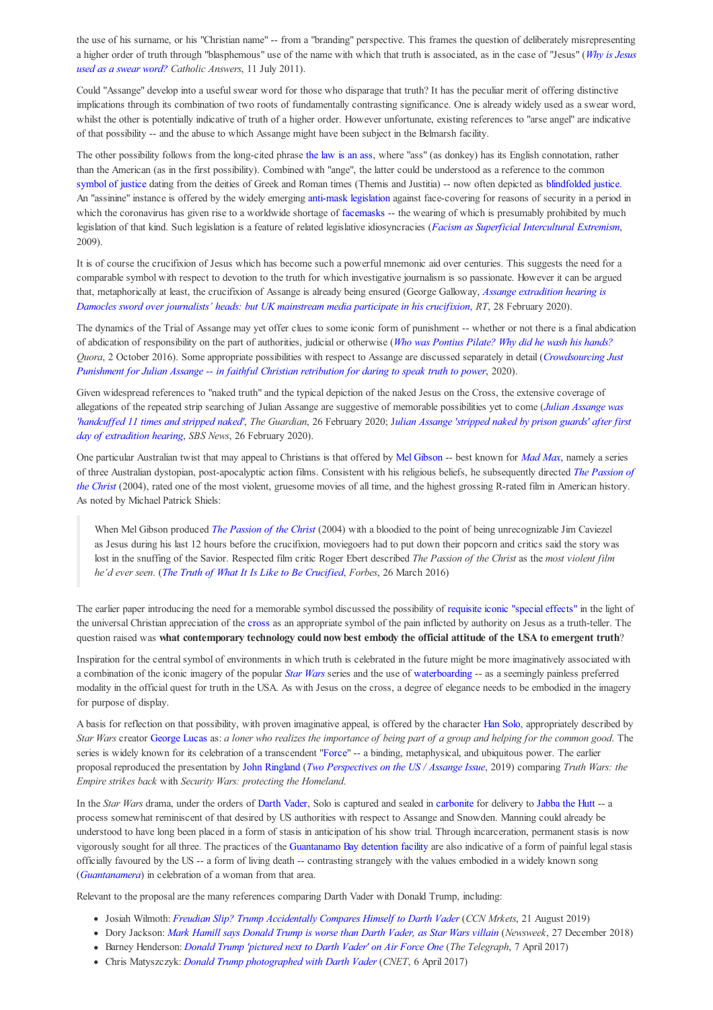the use of his surname, or his "Christian name" -- from a "branding" perspective. This frames the question of deliberately misrepresenting a higher order of truth through "blasphemous" use of the name with which that truth is associated, as in the case of "Jesus" (*Why is Jesus used as a swear word? Catholic Answers*, 11 July 2011).

Could "Assange" develop into a useful swear word for those who disparage that truth? It has the peculiar merit of offering distinctive implications through its combination of two roots of fundamentally contrasting significance. One is already widely used as a swear word, whilst the other is potentially indicative of truth of a higher order. However unfortunate, existing references to "arse angel" are indicative of that possibility -- and the abuse to which Assange might have been subject in the Belmarsh facility.

The other possibility follows from the long-cited phrase the law is an ass, where "ass" (as donkey) has its English connotation, rather than the American (as in the first possibility). Combined with "ange", the latter could be understood as a reference to the common symbol of justice dating from the deities of Greek and Roman times (Themis and Justitia) -- now often depicted as blindfolded justice. An "assinine" instance is offered by the widely emerging anti-mask legislation against face-covering for reasons of security in a period in which the coronavirus has given rise to a worldwide shortage of facemasks -- the wearing of which is presumably prohibited by much legislation of that kind. Such legislation is a feature of related legislative idiosyncracies (*Facism as Superficial Intercultural Extremism*, 2009).

It is of course the crucifixion of Jesus which has become such a powerful mnemonic aid over centuries. This suggests the need for a comparable symbol with respect to devotion to the truth for which investigative journalism is so passionate. However it can be argued that, metaphorically at least, the crucifixion of Assange is already being ensured (George Galloway, *Assange extradition hearing is Damocles sword over journalists' heads: but UK mainstream media participate in his crucifixion*, *RT*, 28 February 2020).

The dynamics of the Trial of Assange may yet offer clues to some iconic form of punishment -- whether or not there is a final abdication of abdication of responsibility on the part of authorities, judicial or otherwise (*Who was Pontius Pilate? Why did he wash his hands? Quora*, 2 October 2016). Some appropriate possibilities with respect to Assange are discussed separately in detail (*Crowdsourcing Just Punishment for Julian Assange -- in faithful Christian retribution for daring to speak truth to power*, 2020).

Given widespread references to "naked truth" and the typical depiction of the naked Jesus on the Cross, the extensive coverage of allegations of the repeated strip searching of Julian Assange are suggestive of memorable possibilities yet to come (*Julian Assange was 'handcuffed 11 times and stripped naked'*, *The Guardian*, 26 February 2020; J*ulian Assange 'stripped naked by prison guards' after first day of extradition hearing*, *SBS News*, 26 February 2020).

One particular Australian twist that may appeal to Christians is that offered by Mel Gibson -- best known for *Mad Max*, namely a series of three Australian dystopian, post-apocalyptic action films. Consistent with his religious beliefs, he subsequently directed *The Passion of the Christ* (2004), rated one of the most violent, gruesome movies of all time, and the highest grossing R-rated film in American history. As noted by Michael Patrick Shiels:

When Mel Gibson produced *The Passion of the Christ* (2004) with a bloodied to the point of being unrecognizable Jim Caviezel as Jesus during his last 12 hours before the crucifixion, moviegoers had to put down their popcorn and critics said the story was lost in the snuffing of the Savior. Respected film critic Roger Ebert described *The Passion of the Christ* as the *most violent film he'd ever seen*. (*The Truth of What It Is Like to Be Crucified*, *Forbes*, 26 March 2016)

The earlier paper introducing the need for a memorable symbol discussed the possibility of requisite iconic "special effects" in the light of the universal Christian appreciation of the cross as an appropriate symbol of the pain inflicted by authority on Jesus as a truth-teller. The question raised was **what contemporary technology could now best embody the official attitude of the USA to emergent truth**?

Inspiration for the central symbol of environments in which truth is celebrated in the future might be more imaginatively associated with a combination of the iconic imagery of the popular *Star Wars* series and the use of waterboarding -- as a seemingly painless preferred modality in the official quest for truth in the USA. As with Jesus on the cross, a degree of elegance needs to be embodied in the imagery for purpose of display.

A basis for reflection on that possibility, with proven imaginative appeal, is offered by the character Han Solo, appropriately described by *Star Wars* creator George Lucas as: *a loner who realizes the importance of being part of a group and helping for the common good*. The series is widely known for its celebration of a transcendent "Force" -- a binding, metaphysical, and ubiquitous power. The earlier proposal reproduced the presentation by John Ringland (*Two Perspectives on the US / Assange Issue*, 2019) comparing *Truth Wars: the Empire strikes back* with *Security Wars: protecting the Homeland*.

In the *Star Wars* drama, under the orders of Darth Vader, Solo is captured and sealed in carbonite for delivery to Jabba the Hutt -- a process somewhat reminiscent of that desired by US authorities with respect to Assange and Snowden. Manning could already be understood to have long been placed in a form of stasis in anticipation of his show trial. Through incarceration, permanent stasis is now vigorously sought for all three. The practices of the Guantanamo Bay detention facility are also indicative of a form of painful legal stasis officially favoured by the US -- a form of living death -- contrasting strangely with the values embodied in a widely known song (*Guantanamera*) in celebration of a woman from that area.

Relevant to the proposal are the many references comparing Darth Vader with Donald Trump, including:

- Josiah Wilmoth: *Freudian Slip? Trump Accidentally Compares Himself to Darth Vader* (*CCN Mrkets*, 21 August 2019)
- Dory Jackson: *Mark Hamill says Donald Trump is worse than Darth Vader, as Star Wars villain* (*Newsweek*, 27 December 2018)
- Barney Henderson: *Donald Trump 'pictured next to Darth Vader' on Air Force One* (*The Telegraph*, 7 April 2017)
- Chris Matyszczyk: *Donald Trump photographed with Darth Vader* (*CNET*, 6 April 2017)